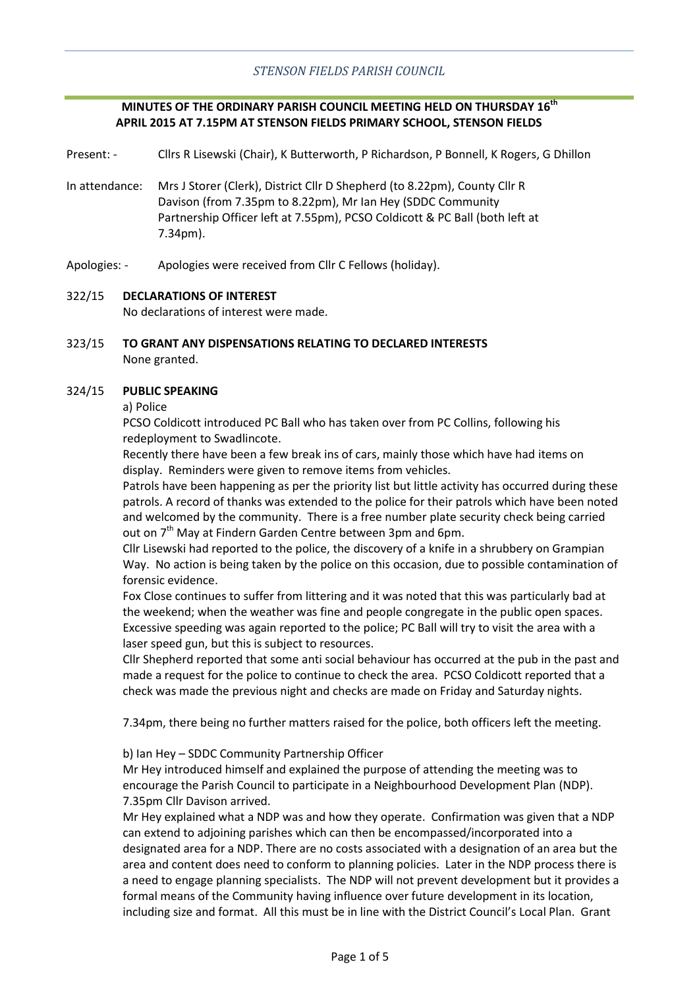### **MINUTES OF THE ORDINARY PARISH COUNCIL MEETING HELD ON THURSDAY 16th APRIL 2015 AT 7.15PM AT STENSON FIELDS PRIMARY SCHOOL, STENSON FIELDS**

Present: - Cllrs R Lisewski (Chair), K Butterworth, P Richardson, P Bonnell, K Rogers, G Dhillon

- In attendance: Mrs J Storer (Clerk), District Cllr D Shepherd (to 8.22pm), County Cllr R Davison (from 7.35pm to 8.22pm), Mr Ian Hey (SDDC Community Partnership Officer left at 7.55pm), PCSO Coldicott & PC Ball (both left at 7.34pm).
- Apologies: Apologies were received from Cllr C Fellows (holiday).

### 322/15 **DECLARATIONS OF INTEREST**

No declarations of interest were made.

323/15 **TO GRANT ANY DISPENSATIONS RELATING TO DECLARED INTERESTS** None granted.

#### 324/15 **PUBLIC SPEAKING**

a) Police

PCSO Coldicott introduced PC Ball who has taken over from PC Collins, following his redeployment to Swadlincote.

Recently there have been a few break ins of cars, mainly those which have had items on display. Reminders were given to remove items from vehicles.

Patrols have been happening as per the priority list but little activity has occurred during these patrols. A record of thanks was extended to the police for their patrols which have been noted and welcomed by the community. There is a free number plate security check being carried out on 7<sup>th</sup> May at Findern Garden Centre between 3pm and 6pm.

Cllr Lisewski had reported to the police, the discovery of a knife in a shrubbery on Grampian Way. No action is being taken by the police on this occasion, due to possible contamination of forensic evidence.

Fox Close continues to suffer from littering and it was noted that this was particularly bad at the weekend; when the weather was fine and people congregate in the public open spaces. Excessive speeding was again reported to the police; PC Ball will try to visit the area with a laser speed gun, but this is subject to resources.

Cllr Shepherd reported that some anti social behaviour has occurred at the pub in the past and made a request for the police to continue to check the area. PCSO Coldicott reported that a check was made the previous night and checks are made on Friday and Saturday nights.

7.34pm, there being no further matters raised for the police, both officers left the meeting.

### b) Ian Hey – SDDC Community Partnership Officer

Mr Hey introduced himself and explained the purpose of attending the meeting was to encourage the Parish Council to participate in a Neighbourhood Development Plan (NDP). 7.35pm Cllr Davison arrived.

Mr Hey explained what a NDP was and how they operate. Confirmation was given that a NDP can extend to adjoining parishes which can then be encompassed/incorporated into a designated area for a NDP. There are no costs associated with a designation of an area but the area and content does need to conform to planning policies. Later in the NDP process there is a need to engage planning specialists. The NDP will not prevent development but it provides a formal means of the Community having influence over future development in its location, including size and format. All this must be in line with the District Council's Local Plan. Grant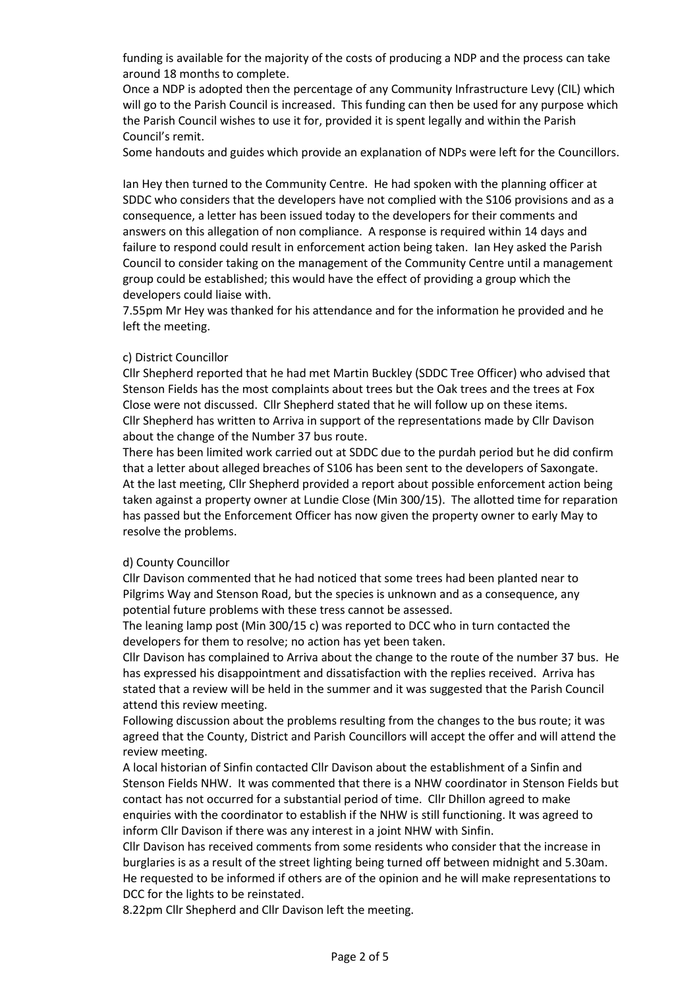funding is available for the majority of the costs of producing a NDP and the process can take around 18 months to complete.

Once a NDP is adopted then the percentage of any Community Infrastructure Levy (CIL) which will go to the Parish Council is increased. This funding can then be used for any purpose which the Parish Council wishes to use it for, provided it is spent legally and within the Parish Council's remit.

Some handouts and guides which provide an explanation of NDPs were left for the Councillors.

Ian Hey then turned to the Community Centre. He had spoken with the planning officer at SDDC who considers that the developers have not complied with the S106 provisions and as a consequence, a letter has been issued today to the developers for their comments and answers on this allegation of non compliance. A response is required within 14 days and failure to respond could result in enforcement action being taken. Ian Hey asked the Parish Council to consider taking on the management of the Community Centre until a management group could be established; this would have the effect of providing a group which the developers could liaise with.

7.55pm Mr Hey was thanked for his attendance and for the information he provided and he left the meeting.

### c) District Councillor

Cllr Shepherd reported that he had met Martin Buckley (SDDC Tree Officer) who advised that Stenson Fields has the most complaints about trees but the Oak trees and the trees at Fox Close were not discussed. Cllr Shepherd stated that he will follow up on these items. Cllr Shepherd has written to Arriva in support of the representations made by Cllr Davison about the change of the Number 37 bus route.

There has been limited work carried out at SDDC due to the purdah period but he did confirm that a letter about alleged breaches of S106 has been sent to the developers of Saxongate. At the last meeting, Cllr Shepherd provided a report about possible enforcement action being taken against a property owner at Lundie Close (Min 300/15). The allotted time for reparation has passed but the Enforcement Officer has now given the property owner to early May to resolve the problems.

### d) County Councillor

Cllr Davison commented that he had noticed that some trees had been planted near to Pilgrims Way and Stenson Road, but the species is unknown and as a consequence, any potential future problems with these tress cannot be assessed.

The leaning lamp post (Min 300/15 c) was reported to DCC who in turn contacted the developers for them to resolve; no action has yet been taken.

Cllr Davison has complained to Arriva about the change to the route of the number 37 bus. He has expressed his disappointment and dissatisfaction with the replies received. Arriva has stated that a review will be held in the summer and it was suggested that the Parish Council attend this review meeting.

Following discussion about the problems resulting from the changes to the bus route; it was agreed that the County, District and Parish Councillors will accept the offer and will attend the review meeting.

A local historian of Sinfin contacted Cllr Davison about the establishment of a Sinfin and Stenson Fields NHW. It was commented that there is a NHW coordinator in Stenson Fields but contact has not occurred for a substantial period of time. Cllr Dhillon agreed to make enquiries with the coordinator to establish if the NHW is still functioning. It was agreed to inform Cllr Davison if there was any interest in a joint NHW with Sinfin.

Cllr Davison has received comments from some residents who consider that the increase in burglaries is as a result of the street lighting being turned off between midnight and 5.30am. He requested to be informed if others are of the opinion and he will make representations to DCC for the lights to be reinstated.

8.22pm Cllr Shepherd and Cllr Davison left the meeting.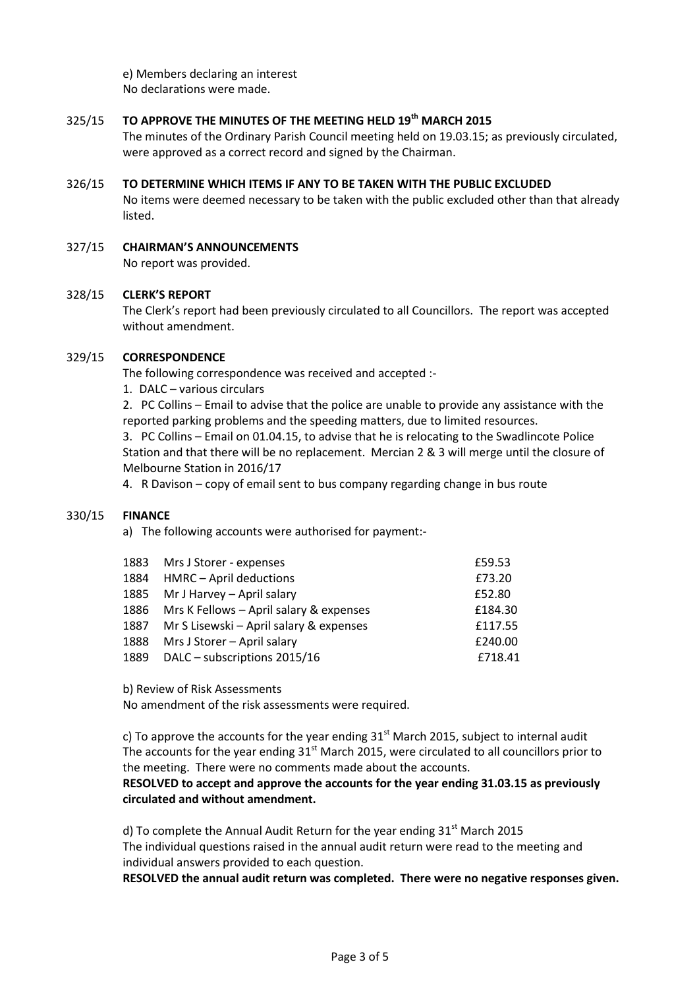e) Members declaring an interest No declarations were made.

#### 325/15 **TO APPROVE THE MINUTES OF THE MEETING HELD 19th MARCH 2015**

The minutes of the Ordinary Parish Council meeting held on 19.03.15; as previously circulated, were approved as a correct record and signed by the Chairman.

#### 326/15 **TO DETERMINE WHICH ITEMS IF ANY TO BE TAKEN WITH THE PUBLIC EXCLUDED**

No items were deemed necessary to be taken with the public excluded other than that already listed.

327/15 **CHAIRMAN'S ANNOUNCEMENTS** No report was provided.

#### 328/15 **CLERK'S REPORT**

The Clerk's report had been previously circulated to all Councillors. The report was accepted without amendment.

#### 329/15 **CORRESPONDENCE**

The following correspondence was received and accepted :-

1. DALC – various circulars

2. PC Collins – Email to advise that the police are unable to provide any assistance with the reported parking problems and the speeding matters, due to limited resources.

3. PC Collins – Email on 01.04.15, to advise that he is relocating to the Swadlincote Police Station and that there will be no replacement. Mercian 2 & 3 will merge until the closure of Melbourne Station in 2016/17

4. R Davison – copy of email sent to bus company regarding change in bus route

#### 330/15 **FINANCE**

a) The following accounts were authorised for payment:-

| 1883 | Mrs J Storer - expenses                 | £59.53  |
|------|-----------------------------------------|---------|
| 1884 | HMRC - April deductions                 | £73.20  |
| 1885 | Mr J Harvey - April salary              | £52.80  |
| 1886 | Mrs K Fellows - April salary & expenses | £184.30 |
| 1887 | Mr S Lisewski - April salary & expenses | £117.55 |
| 1888 | Mrs J Storer - April salary             | £240.00 |
| 1889 | DALC - subscriptions 2015/16            | £718.41 |

b) Review of Risk Assessments

No amendment of the risk assessments were required.

c) To approve the accounts for the year ending  $31<sup>st</sup>$  March 2015, subject to internal audit The accounts for the year ending  $31<sup>st</sup>$  March 2015, were circulated to all councillors prior to the meeting. There were no comments made about the accounts.

## **RESOLVED to accept and approve the accounts for the year ending 31.03.15 as previously circulated and without amendment.**

d) To complete the Annual Audit Return for the year ending  $31<sup>st</sup>$  March 2015 The individual questions raised in the annual audit return were read to the meeting and individual answers provided to each question.

**RESOLVED the annual audit return was completed. There were no negative responses given.**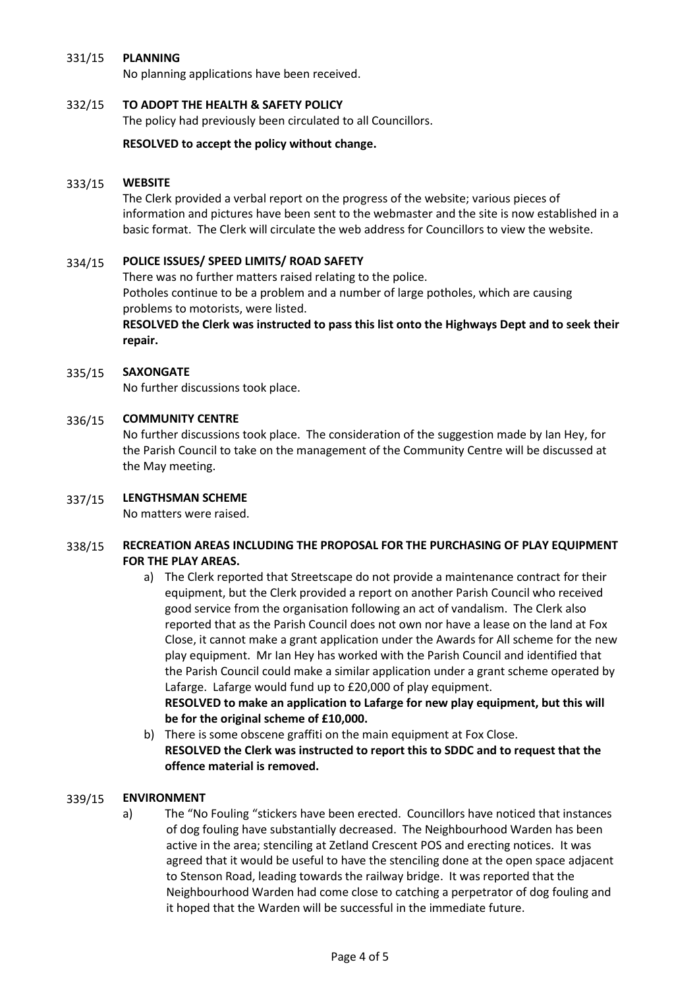#### 331/15 **PLANNING**

No planning applications have been received.

#### 332/15 **TO ADOPT THE HEALTH & SAFETY POLICY**

The policy had previously been circulated to all Councillors.

### **RESOLVED to accept the policy without change.**

#### 333/15 **WEBSITE**

The Clerk provided a verbal report on the progress of the website; various pieces of information and pictures have been sent to the webmaster and the site is now established in a basic format. The Clerk will circulate the web address for Councillors to view the website.

#### 334/15 **POLICE ISSUES/ SPEED LIMITS/ ROAD SAFETY**

There was no further matters raised relating to the police. Potholes continue to be a problem and a number of large potholes, which are causing problems to motorists, were listed.

### **RESOLVED the Clerk was instructed to pass this list onto the Highways Dept and to seek their repair.**

#### 335/15 **SAXONGATE**

No further discussions took place.

#### 336/15 **COMMUNITY CENTRE**

No further discussions took place. The consideration of the suggestion made by Ian Hey, for the Parish Council to take on the management of the Community Centre will be discussed at the May meeting.

#### 337/15 **LENGTHSMAN SCHEME**

No matters were raised.

### 338/15 **RECREATION AREAS INCLUDING THE PROPOSAL FOR THE PURCHASING OF PLAY EQUIPMENT FOR THE PLAY AREAS.**

a) The Clerk reported that Streetscape do not provide a maintenance contract for their equipment, but the Clerk provided a report on another Parish Council who received good service from the organisation following an act of vandalism. The Clerk also reported that as the Parish Council does not own nor have a lease on the land at Fox Close, it cannot make a grant application under the Awards for All scheme for the new play equipment. Mr Ian Hey has worked with the Parish Council and identified that the Parish Council could make a similar application under a grant scheme operated by Lafarge. Lafarge would fund up to £20,000 of play equipment. **RESOLVED to make an application to Lafarge for new play equipment, but this will** 

**be for the original scheme of £10,000.**

b) There is some obscene graffiti on the main equipment at Fox Close. **RESOLVED the Clerk was instructed to report this to SDDC and to request that the offence material is removed.**

#### 339/15 **ENVIRONMENT**

a) The "No Fouling "stickers have been erected. Councillors have noticed that instances of dog fouling have substantially decreased. The Neighbourhood Warden has been active in the area; stenciling at Zetland Crescent POS and erecting notices. It was agreed that it would be useful to have the stenciling done at the open space adjacent to Stenson Road, leading towards the railway bridge. It was reported that the Neighbourhood Warden had come close to catching a perpetrator of dog fouling and it hoped that the Warden will be successful in the immediate future.